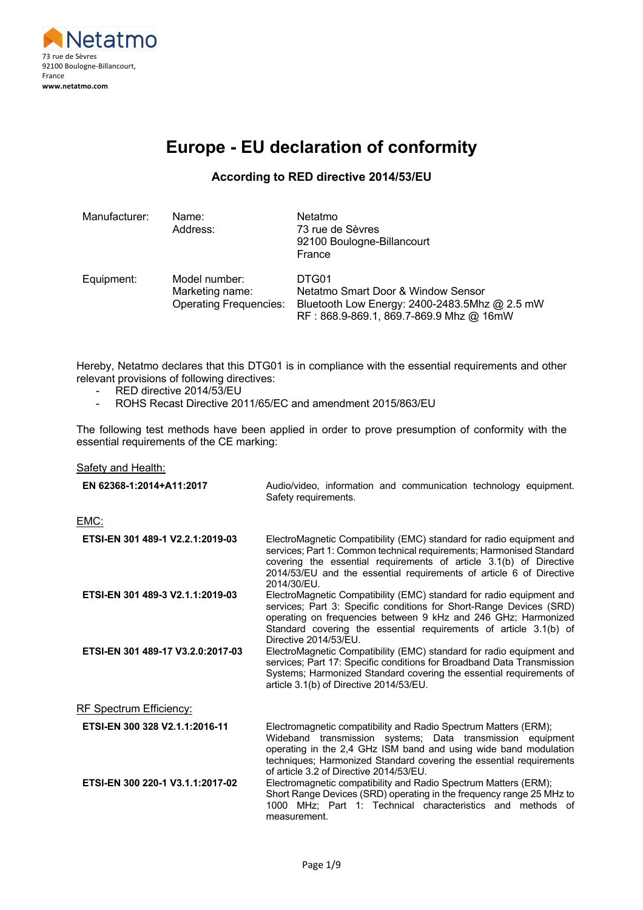

## **Europe - EU declaration of conformity**

#### **According to RED directive 2014/53/EU**

| Manufacturer: | Name:<br>Address:                                                 | Netatmo<br>73 rue de Sèvres<br>92100 Boulogne-Billancourt<br>France                                                                     |
|---------------|-------------------------------------------------------------------|-----------------------------------------------------------------------------------------------------------------------------------------|
| Equipment:    | Model number:<br>Marketing name:<br><b>Operating Frequencies:</b> | DTG01<br>Netatmo Smart Door & Window Sensor<br>Bluetooth Low Energy: 2400-2483.5Mhz @ 2.5 mW<br>RF: 868.9-869.1, 869.7-869.9 Mhz @ 16mW |

Hereby, Netatmo declares that this DTG01 is in compliance with the essential requirements and other relevant provisions of following directives:

- RED directive 2014/53/EU
- ROHS Recast Directive 2011/65/EC and amendment 2015/863/EU

The following test methods have been applied in order to prove presumption of conformity with the essential requirements of the CE marking:

#### Safety and Health:

| EN 62368-1:2014+A11:2017          | Audio/video, information and communication technology equipment.<br>Safety requirements.                                                                                                                                                                                                                            |
|-----------------------------------|---------------------------------------------------------------------------------------------------------------------------------------------------------------------------------------------------------------------------------------------------------------------------------------------------------------------|
| <u>EMC:</u>                       |                                                                                                                                                                                                                                                                                                                     |
| ETSI-EN 301 489-1 V2.2.1:2019-03  | ElectroMagnetic Compatibility (EMC) standard for radio equipment and<br>services; Part 1: Common technical requirements; Harmonised Standard<br>covering the essential requirements of article 3.1(b) of Directive<br>2014/53/EU and the essential requirements of article 6 of Directive<br>2014/30/EU.            |
| ETSI-EN 301 489-3 V2.1.1:2019-03  | ElectroMagnetic Compatibility (EMC) standard for radio equipment and<br>services; Part 3: Specific conditions for Short-Range Devices (SRD)<br>operating on frequencies between 9 kHz and 246 GHz; Harmonized<br>Standard covering the essential requirements of article 3.1(b) of<br>Directive 2014/53/EU.         |
| ETSI-EN 301 489-17 V3.2.0:2017-03 | ElectroMagnetic Compatibility (EMC) standard for radio equipment and<br>services; Part 17: Specific conditions for Broadband Data Transmission<br>Systems; Harmonized Standard covering the essential requirements of<br>article 3.1(b) of Directive 2014/53/EU.                                                    |
| RF Spectrum Efficiency:           |                                                                                                                                                                                                                                                                                                                     |
| ETSI-EN 300 328 V2.1.1:2016-11    | Electromagnetic compatibility and Radio Spectrum Matters (ERM);<br>Wideband transmission systems; Data transmission equipment<br>operating in the 2,4 GHz ISM band and using wide band modulation<br>techniques; Harmonized Standard covering the essential requirements<br>of article 3.2 of Directive 2014/53/EU. |
| ETSI-EN 300 220-1 V3.1.1:2017-02  | Electromagnetic compatibility and Radio Spectrum Matters (ERM);<br>Short Range Devices (SRD) operating in the frequency range 25 MHz to<br>1000 MHz; Part 1: Technical characteristics and methods of<br>measurement.                                                                                               |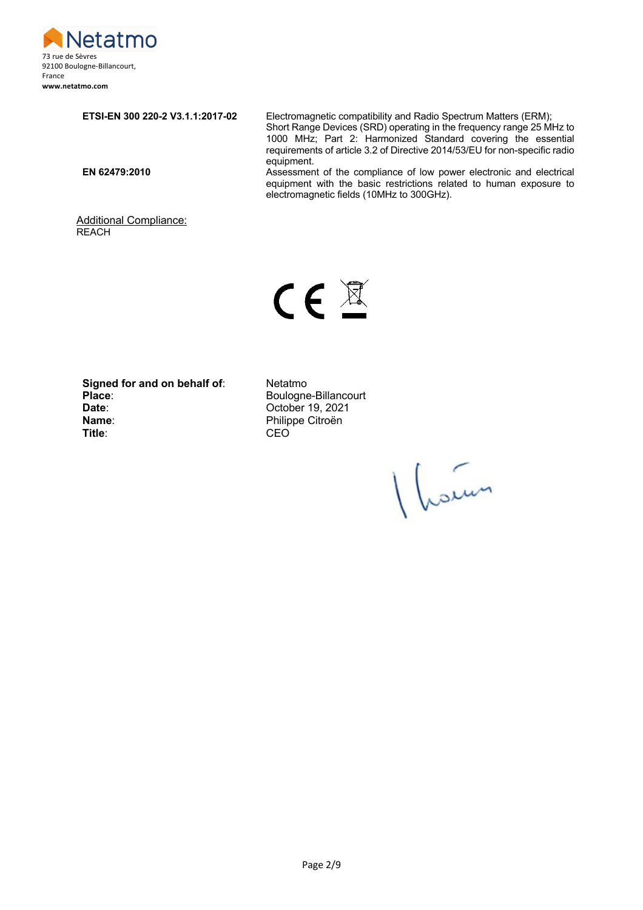

**REACH** 

**ETSI-EN 300 220-2 V3.1.1:2017-02** Electromagnetic compatibility and Radio Spectrum Matters (ERM); Short Range Devices (SRD) operating in the frequency range 25 MHz to 1000 MHz; Part 2: Harmonized Standard covering the essential requirements of article 3.2 of Directive 2014/53/EU for non-specific radio equipment. **EN 62479:2010** Assessment of the compliance of low power electronic and electrical equipment with the basic restrictions related to human exposure to electromagnetic fields (10MHz to 300GHz).

 $C \in \mathbb{Z}$ 

**Signed for and on behalf of:** Netatmo<br>Place: Boulogne Place:<br> **Place:** Boulogne-Billancourt<br>
Date: Cotober 19, 2021 **Name:** Philippe Citroën<br> **Title:** CEO **Title:** 

Additional Compliance:

**Date**: October 19, 2021

Vloien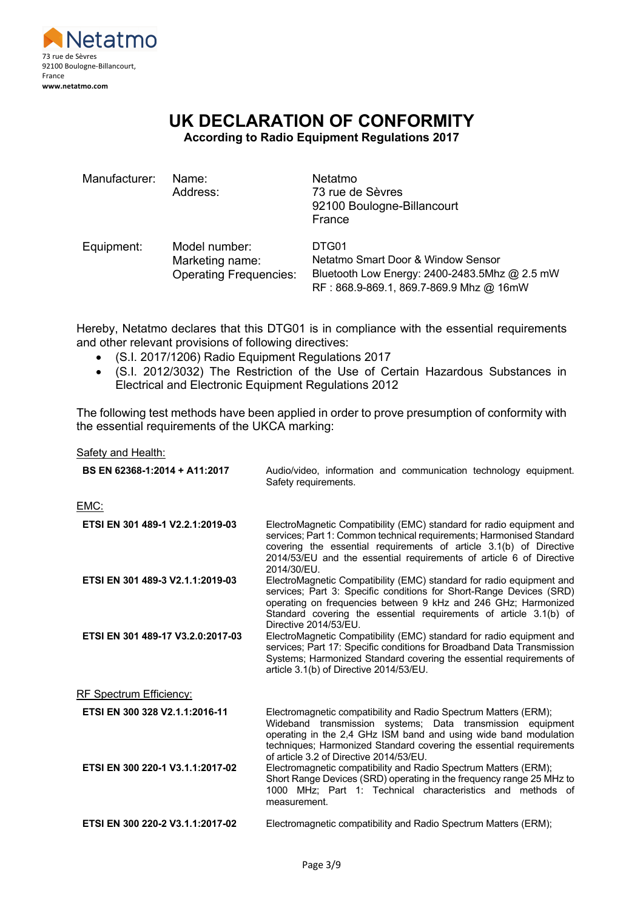

# **UK DECLARATION OF CONFORMITY**

**According to Radio Equipment Regulations 2017**

| Manufacturer: | Name:<br>Address:                                                 | Netatmo<br>73 rue de Sèvres<br>92100 Boulogne-Billancourt<br>France                                                                     |
|---------------|-------------------------------------------------------------------|-----------------------------------------------------------------------------------------------------------------------------------------|
| Equipment:    | Model number:<br>Marketing name:<br><b>Operating Frequencies:</b> | DTG01<br>Netatmo Smart Door & Window Sensor<br>Bluetooth Low Energy: 2400-2483.5Mhz @ 2.5 mW<br>RF: 868.9-869.1, 869.7-869.9 Mhz @ 16mW |

Hereby, Netatmo declares that this DTG01 is in compliance with the essential requirements and other relevant provisions of following directives:

- (S.I. 2017/1206) Radio Equipment Regulations 2017
- (S.I. 2012/3032) The Restriction of the Use of Certain Hazardous Substances in Electrical and Electronic Equipment Regulations 2012

The following test methods have been applied in order to prove presumption of conformity with the essential requirements of the UKCA marking:

Safety and Health:

| BS EN 62368-1:2014 + A11:2017     | Audio/video, information and communication technology equipment.<br>Safety requirements.                                                                                                                                                                                                                            |
|-----------------------------------|---------------------------------------------------------------------------------------------------------------------------------------------------------------------------------------------------------------------------------------------------------------------------------------------------------------------|
| EMC:                              |                                                                                                                                                                                                                                                                                                                     |
| ETSI EN 301 489-1 V2.2.1:2019-03  | ElectroMagnetic Compatibility (EMC) standard for radio equipment and<br>services; Part 1: Common technical requirements; Harmonised Standard<br>covering the essential requirements of article 3.1(b) of Directive<br>2014/53/EU and the essential requirements of article 6 of Directive<br>2014/30/EU.            |
| ETSI EN 301 489-3 V2.1.1:2019-03  | ElectroMagnetic Compatibility (EMC) standard for radio equipment and<br>services; Part 3: Specific conditions for Short-Range Devices (SRD)<br>operating on frequencies between 9 kHz and 246 GHz; Harmonized<br>Standard covering the essential requirements of article 3.1(b) of<br>Directive 2014/53/EU.         |
| ETSI EN 301 489-17 V3.2.0:2017-03 | ElectroMagnetic Compatibility (EMC) standard for radio equipment and<br>services; Part 17: Specific conditions for Broadband Data Transmission<br>Systems; Harmonized Standard covering the essential requirements of<br>article 3.1(b) of Directive 2014/53/EU.                                                    |
| RF Spectrum Efficiency:           |                                                                                                                                                                                                                                                                                                                     |
| ETSI EN 300 328 V2.1.1:2016-11    | Electromagnetic compatibility and Radio Spectrum Matters (ERM);<br>Wideband transmission systems; Data transmission equipment<br>operating in the 2,4 GHz ISM band and using wide band modulation<br>techniques; Harmonized Standard covering the essential requirements<br>of article 3.2 of Directive 2014/53/EU. |
| ETSI EN 300 220-1 V3.1.1:2017-02  | Electromagnetic compatibility and Radio Spectrum Matters (ERM);<br>Short Range Devices (SRD) operating in the frequency range 25 MHz to<br>1000 MHz; Part 1: Technical characteristics and methods of<br>measurement.                                                                                               |
| ETSI EN 300 220-2 V3.1.1:2017-02  | Electromagnetic compatibility and Radio Spectrum Matters (ERM);                                                                                                                                                                                                                                                     |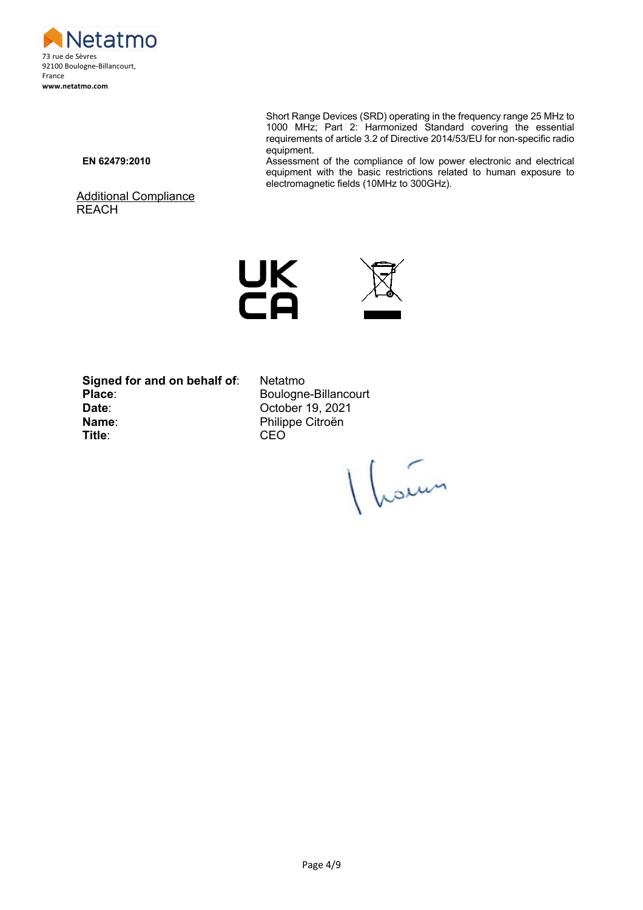

Short Range Devices (SRD) operating in the frequency range 25 MHz to 1000 MHz; Part 2: Harmonized Standard covering the essential requirements of article 3.2 of Directive 2014/53/EU for non-specific radio equipment.

Additional Compliance **REACH** 

**EN 62479:2010** Assessment of the compliance of low power electronic and electrical equipment with the basic restrictions related to human exposure to electromagnetic fields (10MHz to 300GHz).





**Signed for and on behalf of**: Netatmo Place: Boulogne-Billancourt **Date**: October 19, 2021 **Name:** Philippe Citroën<br> **Title:** CEO

**Title**: CEO

Vleden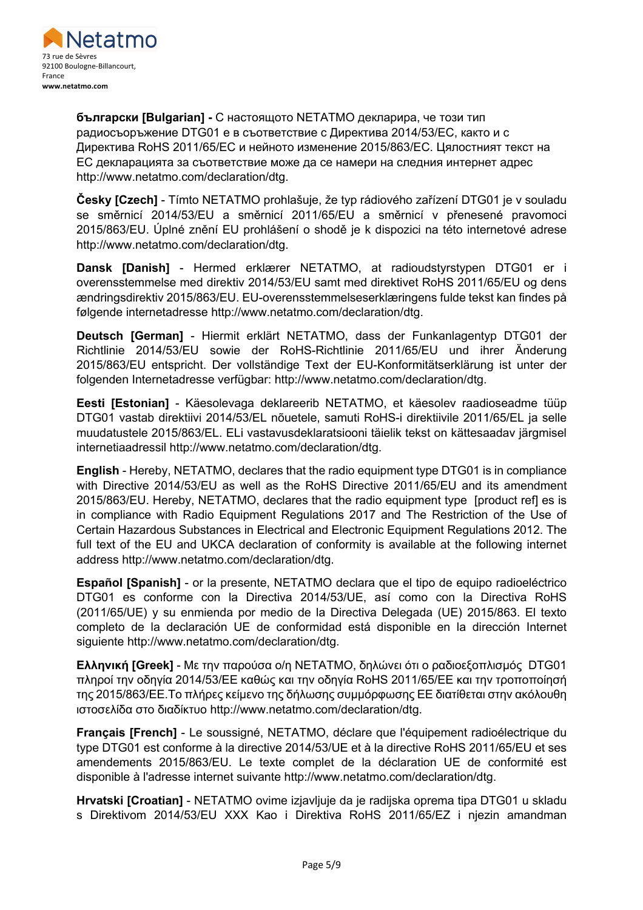

**български [Bulgarian] -** С настоящото NETATMO декларира, че този тип радиосъоръжение DTG01 е в съответствие с Директива 2014/53/ЕС, както и с Директива RoHS 2011/65/ЕС и нейното изменение 2015/863/ЕС. Цялостният текст на ЕС декларацията за съответствие може да се намери на следния интернет адрес http://www.netatmo.com/declaration/dtg.

**Česky [Czech]** - Tímto NETATMO prohlašuje, že typ rádiového zařízení DTG01 je v souladu se směrnicí 2014/53/EU a směrnicí 2011/65/EU a směrnicí v přenesené pravomoci 2015/863/EU. Úplné znění EU prohlášení o shodě je k dispozici na této internetové adrese http://www.netatmo.com/declaration/dtg.

**Dansk [Danish]** - Hermed erklærer NETATMO, at radioudstyrstypen DTG01 er i overensstemmelse med direktiv 2014/53/EU samt med direktivet RoHS 2011/65/EU og dens ændringsdirektiv 2015/863/EU. EU-overensstemmelseserklæringens fulde tekst kan findes på følgende internetadresse http://www.netatmo.com/declaration/dtg.

**Deutsch [German]** - Hiermit erklärt NETATMO, dass der Funkanlagentyp DTG01 der Richtlinie 2014/53/EU sowie der RoHS-Richtlinie 2011/65/EU und ihrer Änderung 2015/863/EU entspricht. Der vollständige Text der EU-Konformitätserklärung ist unter der folgenden Internetadresse verfügbar: http://www.netatmo.com/declaration/dtg.

**Eesti [Estonian]** - Käesolevaga deklareerib NETATMO, et käesolev raadioseadme tüüp DTG01 vastab direktiivi 2014/53/EL nõuetele, samuti RoHS-i direktiivile 2011/65/EL ja selle muudatustele 2015/863/EL. ELi vastavusdeklaratsiooni täielik tekst on kättesaadav järgmisel internetiaadressil http://www.netatmo.com/declaration/dtg.

**English** - Hereby, NETATMO, declares that the radio equipment type DTG01 is in compliance with Directive 2014/53/EU as well as the RoHS Directive 2011/65/EU and its amendment 2015/863/EU. Hereby, NETATMO, declares that the radio equipment type [product ref] es is in compliance with Radio Equipment Regulations 2017 and The Restriction of the Use of Certain Hazardous Substances in Electrical and Electronic Equipment Regulations 2012. The full text of the EU and UKCA declaration of conformity is available at the following internet address http://www.netatmo.com/declaration/dtg.

**Español [Spanish]** - or la presente, NETATMO declara que el tipo de equipo radioeléctrico DTG01 es conforme con la Directiva 2014/53/UE, así como con la Directiva RoHS (2011/65/UE) y su enmienda por medio de la Directiva Delegada (UE) 2015/863. El texto completo de la declaración UE de conformidad está disponible en la dirección Internet siguiente http://www.netatmo.com/declaration/dtg.

**Ελληνική [Greek]** - Με την παρούσα ο/η NETATMO, δηλώνει ότι ο ραδιοεξοπλισμός DTG01 πληροί την οδηγία 2014/53/ΕΕ καθώς και την οδηγία RoHS 2011/65/EΕ και την τροποποίησή της 2015/863/EΕ.Το πλήρες κείμενο της δήλωσης συμμόρφωσης ΕΕ διατίθεται στην ακόλουθη ιστοσελίδα στο διαδίκτυο http://www.netatmo.com/declaration/dtg.

**Français [French]** - Le soussigné, NETATMO, déclare que l'équipement radioélectrique du type DTG01 est conforme à la directive 2014/53/UE et à la directive RoHS 2011/65/EU et ses amendements 2015/863/EU. Le texte complet de la déclaration UE de conformité est disponible à l'adresse internet suivante http://www.netatmo.com/declaration/dtg.

**Hrvatski [Croatian]** - NETATMO ovime izjavljuje da je radijska oprema tipa DTG01 u skladu s Direktivom 2014/53/EU XXX Kao i Direktiva RoHS 2011/65/EZ i njezin amandman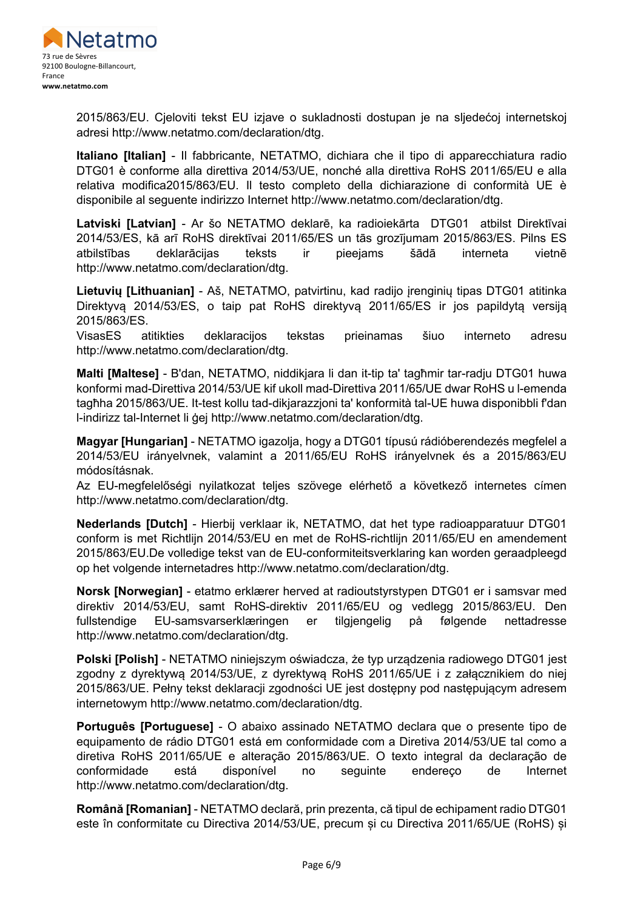

2015/863/EU. Cjeloviti tekst EU izjave o sukladnosti dostupan je na sljedećoj internetskoj adresi http://www.netatmo.com/declaration/dtg.

**Italiano [Italian]** - Il fabbricante, NETATMO, dichiara che il tipo di apparecchiatura radio DTG01 è conforme alla direttiva 2014/53/UE, nonché alla direttiva RoHS 2011/65/EU e alla relativa modifica2015/863/EU. Il testo completo della dichiarazione di conformità UE è disponibile al seguente indirizzo Internet http://www.netatmo.com/declaration/dtg.

**Latviski [Latvian]** - Ar šo NETATMO deklarē, ka radioiekārta DTG01 atbilst Direktīvai 2014/53/ES, kā arī RoHS direktīvai 2011/65/ES un tās grozījumam 2015/863/ES. Pilns ES atbilstības deklarācijas teksts ir pieejams šādā interneta vietnē http://www.netatmo.com/declaration/dtg.

**Lietuvių [Lithuanian]** - Aš, NETATMO, patvirtinu, kad radijo įrenginių tipas DTG01 atitinka Direktyvą 2014/53/ES, o taip pat RoHS direktyvą 2011/65/ES ir jos papildytą versiją 2015/863/ES.

VisasES atitikties deklaracijos tekstas prieinamas šiuo interneto adresu http://www.netatmo.com/declaration/dtg.

**Malti [Maltese]** - B'dan, NETATMO, niddikjara li dan it-tip ta' tagħmir tar-radju DTG01 huwa konformi mad-Direttiva 2014/53/UE kif ukoll mad-Direttiva 2011/65/UE dwar RoHS u l-emenda tagħha 2015/863/UE. It-test kollu tad-dikjarazzjoni ta' konformità tal-UE huwa disponibbli f'dan l-indirizz tal-Internet li ġej http://www.netatmo.com/declaration/dtg.

**Magyar [Hungarian]** - NETATMO igazolja, hogy a DTG01 típusú rádióberendezés megfelel a 2014/53/EU irányelvnek, valamint a 2011/65/EU RoHS irányelvnek és a 2015/863/EU módosításnak.

Az EU-megfelelőségi nyilatkozat teljes szövege elérhető a következő internetes címen http://www.netatmo.com/declaration/dtg.

**Nederlands [Dutch]** - Hierbij verklaar ik, NETATMO, dat het type radioapparatuur DTG01 conform is met Richtlijn 2014/53/EU en met de RoHS-richtlijn 2011/65/EU en amendement 2015/863/EU.De volledige tekst van de EU-conformiteitsverklaring kan worden geraadpleegd op het volgende internetadres http://www.netatmo.com/declaration/dtg.

**Norsk [Norwegian]** - etatmo erklærer herved at radioutstyrstypen DTG01 er i samsvar med direktiv 2014/53/EU, samt RoHS-direktiv 2011/65/EU og vedlegg 2015/863/EU. Den fullstendige EU-samsvarserklæringen er tilgjengelig på følgende nettadresse http://www.netatmo.com/declaration/dtg.

**Polski [Polish]** - NETATMO niniejszym oświadcza, że typ urządzenia radiowego DTG01 jest zgodny z dyrektywą 2014/53/UE, z dyrektywą RoHS 2011/65/UE i z załącznikiem do niej 2015/863/UE. Pełny tekst deklaracji zgodności UE jest dostępny pod następującym adresem internetowym http://www.netatmo.com/declaration/dtg.

**Português [Portuguese]** - O abaixo assinado NETATMO declara que o presente tipo de equipamento de rádio DTG01 está em conformidade com a Diretiva 2014/53/UE tal como a diretiva RoHS 2011/65/UE e alteração 2015/863/UE. O texto integral da declaração de conformidade está disponível no seguinte endereço de Internet http://www.netatmo.com/declaration/dtg.

**Română [Romanian]** - NETATMO declară, prin prezenta, că tipul de echipament radio DTG01 este în conformitate cu Directiva 2014/53/UE, precum și cu Directiva 2011/65/UE (RoHS) și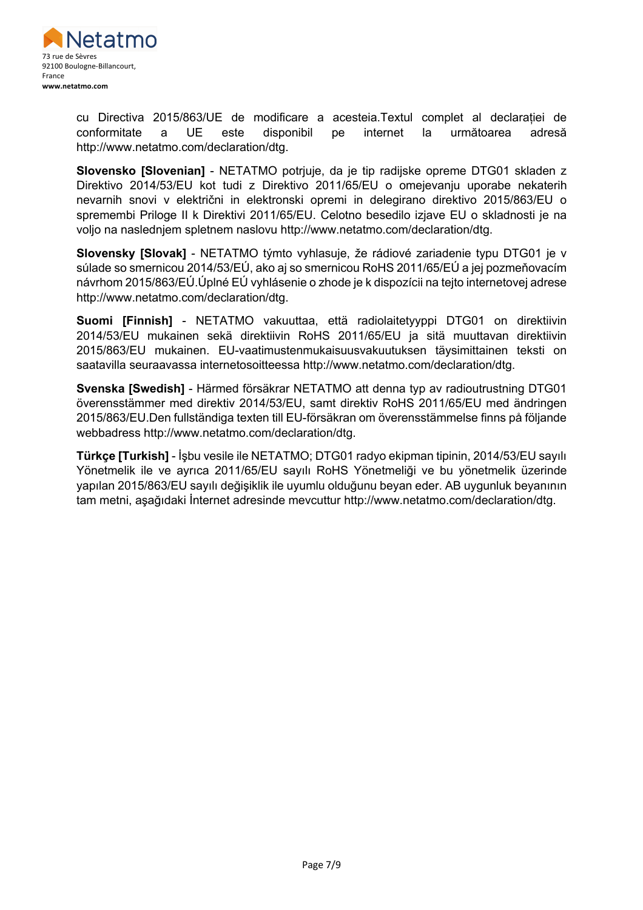

cu Directiva 2015/863/UE de modificare a acesteia.Textul complet al declarației de conformitate a UE este disponibil pe internet la următoarea adresă http://www.netatmo.com/declaration/dtg.

**Slovensko [Slovenian]** - NETATMO potrjuje, da je tip radijske opreme DTG01 skladen z Direktivo 2014/53/EU kot tudi z Direktivo 2011/65/EU o omejevanju uporabe nekaterih nevarnih snovi v električni in elektronski opremi in delegirano direktivo 2015/863/EU o spremembi Priloge II k Direktivi 2011/65/EU. Celotno besedilo izjave EU o skladnosti je na voljo na naslednjem spletnem naslovu http://www.netatmo.com/declaration/dtg.

**Slovensky [Slovak]** - NETATMO týmto vyhlasuje, že rádiové zariadenie typu DTG01 je v súlade so smernicou 2014/53/EÚ, ako aj so smernicou RoHS 2011/65/EÚ a jej pozmeňovacím návrhom 2015/863/EÚ.Úplné EÚ vyhlásenie o zhode je k dispozícii na tejto internetovej adrese http://www.netatmo.com/declaration/dtg.

**Suomi [Finnish]** - NETATMO vakuuttaa, että radiolaitetyyppi DTG01 on direktiivin 2014/53/EU mukainen sekä direktiivin RoHS 2011/65/EU ja sitä muuttavan direktiivin 2015/863/EU mukainen. EU-vaatimustenmukaisuusvakuutuksen täysimittainen teksti on saatavilla seuraavassa internetosoitteessa http://www.netatmo.com/declaration/dtg.

**Svenska [Swedish]** - Härmed försäkrar NETATMO att denna typ av radioutrustning DTG01 överensstämmer med direktiv 2014/53/EU, samt direktiv RoHS 2011/65/EU med ändringen 2015/863/EU.Den fullständiga texten till EU-försäkran om överensstämmelse finns på följande webbadress http://www.netatmo.com/declaration/dtg.

**Türkçe [Turkish]** - İşbu vesile ile NETATMO; DTG01 radyo ekipman tipinin, 2014/53/EU sayılı Yönetmelik ile ve ayrıca 2011/65/EU sayılı RoHS Yönetmeliği ve bu yönetmelik üzerinde yapılan 2015/863/EU sayılı değişiklik ile uyumlu olduğunu beyan eder. AB uygunluk beyanının tam metni, aşağıdaki İnternet adresinde mevcuttur http://www.netatmo.com/declaration/dtg.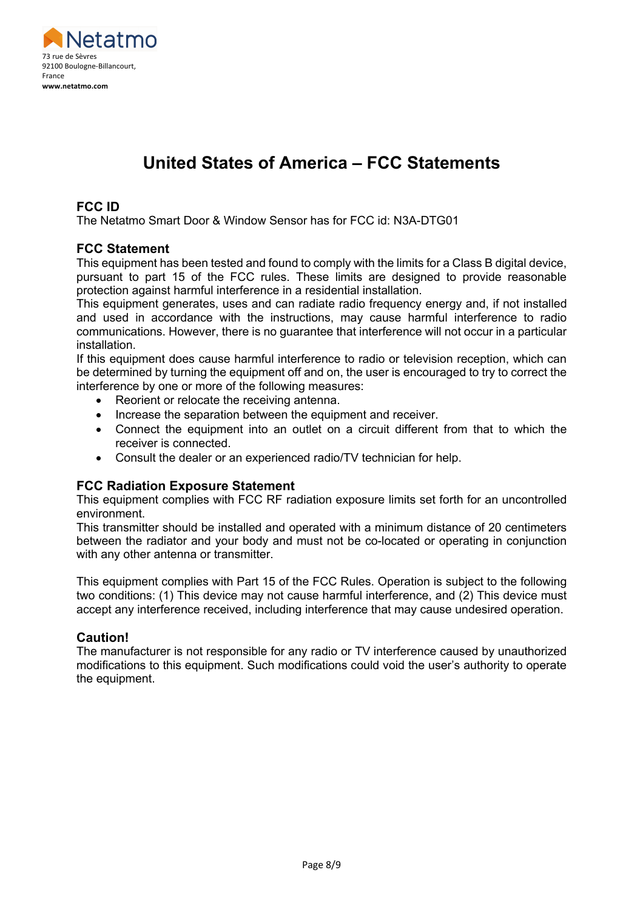

## **United States of America – FCC Statements**

#### **FCC ID**

The Netatmo Smart Door & Window Sensor has for FCC id: N3A-DTG01

#### **FCC Statement**

This equipment has been tested and found to comply with the limits for a Class B digital device, pursuant to part 15 of the FCC rules. These limits are designed to provide reasonable protection against harmful interference in a residential installation.

This equipment generates, uses and can radiate radio frequency energy and, if not installed and used in accordance with the instructions, may cause harmful interference to radio communications. However, there is no guarantee that interference will not occur in a particular installation.

If this equipment does cause harmful interference to radio or television reception, which can be determined by turning the equipment off and on, the user is encouraged to try to correct the interference by one or more of the following measures:

- Reorient or relocate the receiving antenna.
- Increase the separation between the equipment and receiver.
- Connect the equipment into an outlet on a circuit different from that to which the receiver is connected.
- Consult the dealer or an experienced radio/TV technician for help.

### **FCC Radiation Exposure Statement**

This equipment complies with FCC RF radiation exposure limits set forth for an uncontrolled environment.

This transmitter should be installed and operated with a minimum distance of 20 centimeters between the radiator and your body and must not be co-located or operating in conjunction with any other antenna or transmitter.

This equipment complies with Part 15 of the FCC Rules. Operation is subject to the following two conditions: (1) This device may not cause harmful interference, and (2) This device must accept any interference received, including interference that may cause undesired operation.

#### **Caution!**

The manufacturer is not responsible for any radio or TV interference caused by unauthorized modifications to this equipment. Such modifications could void the user's authority to operate the equipment.